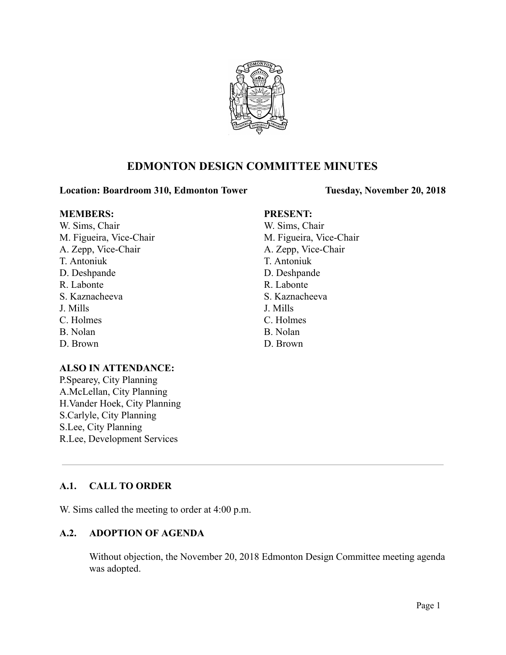

# **EDMONTON DESIGN COMMITTEE MINUTES**

## **Location: Boardroom 310, Edmonton Tower Tuesday, November 20, 2018**

### **MEMBERS: PRESENT:**

W. Sims, Chair W. Sims, Chair M. Figueira, Vice-Chair M. Figueira, Vice-Chair A. Zepp, Vice-Chair A. Zepp, Vice-Chair T. Antoniuk T. Antoniuk D. Deshpande D. Deshpande R. Labonte R. Labonte S. Kaznacheeva S. Kaznacheeva J. Mills J. Mills C. Holmes C. Holmes B. Nolan B. Nolan D. Brown D. Brown

## **ALSO IN ATTENDANCE:**

P.Spearey, City Planning A.McLellan, City Planning H.Vander Hoek, City Planning S.Carlyle, City Planning S.Lee, City Planning R.Lee, Development Services

## **A.1. CALL TO ORDER**

W. Sims called the meeting to order at 4:00 p.m.

## **A.2. ADOPTION OF AGENDA**

Without objection, the November 20, 2018 Edmonton Design Committee meeting agenda was adopted.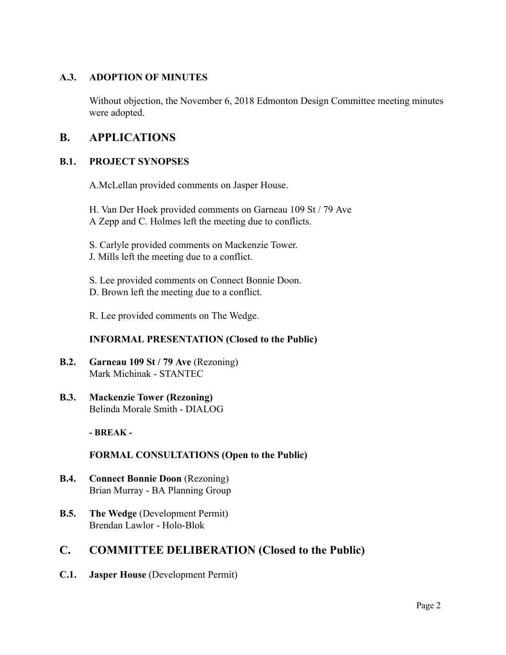## **A.3. ADOPTION OF MINUTES**

Without objection, the November 6, 2018 Edmonton Design Committee meeting minutes were adopted.

# **B. APPLICATIONS**

## **B.1. PROJECT SYNOPSES**

A.McLellan provided comments on Jasper House.

H. Van Der Hoek provided comments on Garneau 109 St / 79 Ave A Zepp and C. Holmes left the meeting due to conflicts.

- S. Carlyle provided comments on Mackenzie Tower.
- J. Mills left the meeting due to a conflict.
- S. Lee provided comments on Connect Bonnie Doon.
- D. Brown left the meeting due to a conflict.

R. Lee provided comments on The Wedge.

## **INFORMAL PRESENTATION (Closed to the Public)**

- **B.2. Garneau 109 St / 79 Ave** (Rezoning) Mark Michinak - STANTEC
- **B.3. Mackenzie Tower (Rezoning)** Belinda Morale Smith - DIALOG

**- BREAK -**

**FORMAL CONSULTATIONS (Open to the Public)**

- **B.4. Connect Bonnie Doon** (Rezoning) Brian Murray - BA Planning Group
- **B.5. The Wedge** (Development Permit) Brendan Lawlor - Holo-Blok

## **C. COMMITTEE DELIBERATION (Closed to the Public)**

**C.1. Jasper House** (Development Permit)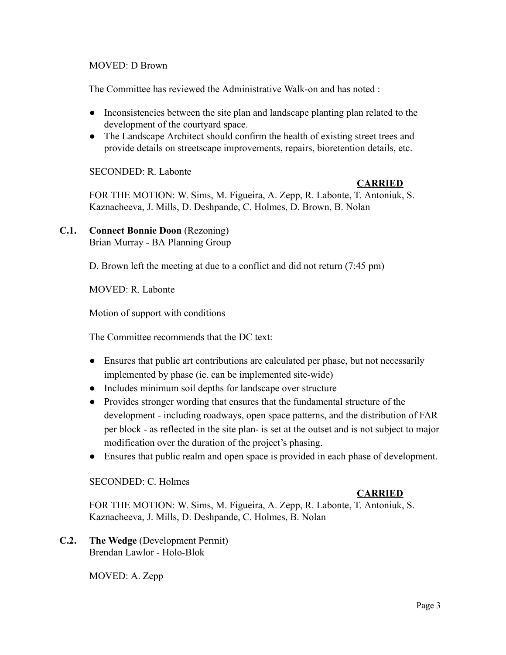## MOVED: D Brown

The Committee has reviewed the Administrative Walk-on and has noted :

- Inconsistencies between the site plan and landscape planting plan related to the development of the courtyard space.
- The Landscape Architect should confirm the health of existing street trees and provide details on streetscape improvements, repairs, bioretention details, etc.

SECONDED: R. Labonte

## **CARRIED**

FOR THE MOTION: W. Sims, M. Figueira, A. Zepp, R. Labonte, T. Antoniuk, S. Kaznacheeva, J. Mills, D. Deshpande, C. Holmes, D. Brown, B. Nolan

## **C.1. Connect Bonnie Doon** (Rezoning) Brian Murray - BA Planning Group

D. Brown left the meeting at due to a conflict and did not return (7:45 pm)

MOVED: R. Labonte

Motion of support with conditions

The Committee recommends that the DC text:

- Ensures that public art contributions are calculated per phase, but not necessarily implemented by phase (ie. can be implemented site-wide)
- Includes minimum soil depths for landscape over structure
- Provides stronger wording that ensures that the fundamental structure of the development - including roadways, open space patterns, and the distribution of FAR per block - as reflected in the site plan- is set at the outset and is not subject to major modification over the duration of the project's phasing.
- Ensures that public realm and open space is provided in each phase of development.

## SECONDED: C. Holmes

## **CARRIED**

FOR THE MOTION: W. Sims, M. Figueira, A. Zepp, R. Labonte, T. Antoniuk, S. Kaznacheeva, J. Mills, D. Deshpande, C. Holmes, B. Nolan

**C.2. The Wedge** (Development Permit) Brendan Lawlor - Holo-Blok

MOVED: A. Zepp